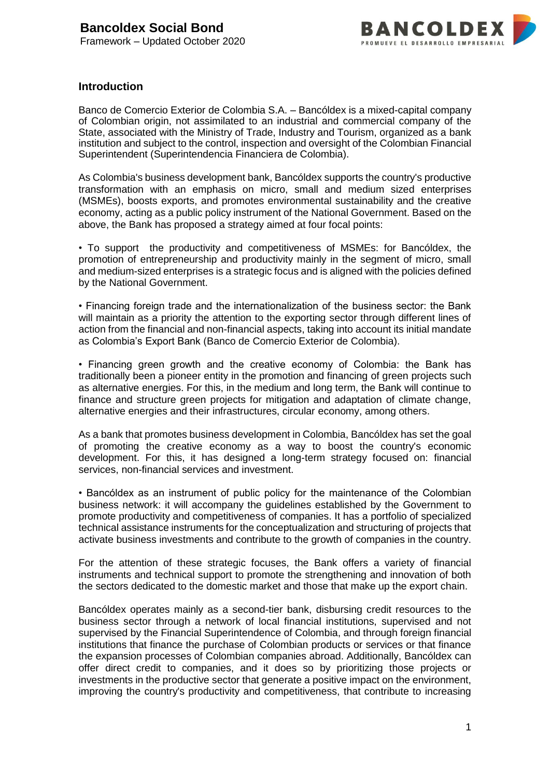

#### **Introduction**

Banco de Comercio Exterior de Colombia S.A. – Bancóldex is a mixed-capital company of Colombian origin, not assimilated to an industrial and commercial company of the State, associated with the Ministry of Trade, Industry and Tourism, organized as a bank institution and subject to the control, inspection and oversight of the Colombian Financial Superintendent (Superintendencia Financiera de Colombia).

As Colombia's business development bank, Bancóldex supports the country's productive transformation with an emphasis on micro, small and medium sized enterprises (MSMEs), boosts exports, and promotes environmental sustainability and the creative economy, acting as a public policy instrument of the National Government. Based on the above, the Bank has proposed a strategy aimed at four focal points:

• To support the productivity and competitiveness of MSMEs: for Bancóldex, the promotion of entrepreneurship and productivity mainly in the segment of micro, small and medium-sized enterprises is a strategic focus and is aligned with the policies defined by the National Government.

• Financing foreign trade and the internationalization of the business sector: the Bank will maintain as a priority the attention to the exporting sector through different lines of action from the financial and non-financial aspects, taking into account its initial mandate as Colombia's Export Bank (Banco de Comercio Exterior de Colombia).

• Financing green growth and the creative economy of Colombia: the Bank has traditionally been a pioneer entity in the promotion and financing of green projects such as alternative energies. For this, in the medium and long term, the Bank will continue to finance and structure green projects for mitigation and adaptation of climate change, alternative energies and their infrastructures, circular economy, among others.

As a bank that promotes business development in Colombia, Bancóldex has set the goal of promoting the creative economy as a way to boost the country's economic development. For this, it has designed a long-term strategy focused on: financial services, non-financial services and investment.

• Bancóldex as an instrument of public policy for the maintenance of the Colombian business network: it will accompany the guidelines established by the Government to promote productivity and competitiveness of companies. It has a portfolio of specialized technical assistance instruments for the conceptualization and structuring of projects that activate business investments and contribute to the growth of companies in the country.

For the attention of these strategic focuses, the Bank offers a variety of financial instruments and technical support to promote the strengthening and innovation of both the sectors dedicated to the domestic market and those that make up the export chain.

Bancóldex operates mainly as a second-tier bank, disbursing credit resources to the business sector through a network of local financial institutions, supervised and not supervised by the Financial Superintendence of Colombia, and through foreign financial institutions that finance the purchase of Colombian products or services or that finance the expansion processes of Colombian companies abroad. Additionally, Bancóldex can offer direct credit to companies, and it does so by prioritizing those projects or investments in the productive sector that generate a positive impact on the environment, improving the country's productivity and competitiveness, that contribute to increasing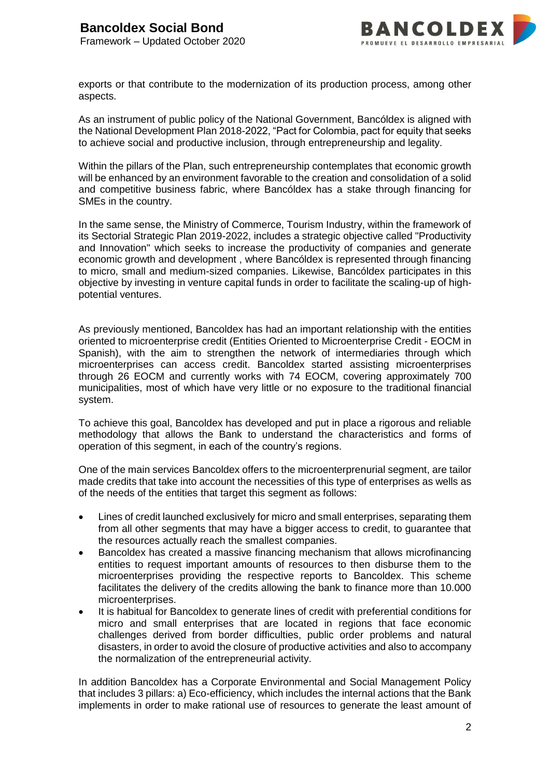

exports or that contribute to the modernization of its production process, among other aspects.

As an instrument of public policy of the National Government, Bancóldex is aligned with the National Development Plan 2018-2022, "Pact for Colombia, pact for equity that seeks to achieve social and productive inclusion, through entrepreneurship and legality.

Within the pillars of the Plan, such entrepreneurship contemplates that economic growth will be enhanced by an environment favorable to the creation and consolidation of a solid and competitive business fabric, where Bancóldex has a stake through financing for SMEs in the country.

In the same sense, the Ministry of Commerce, Tourism Industry, within the framework of its Sectorial Strategic Plan 2019-2022, includes a strategic objective called "Productivity and Innovation" which seeks to increase the productivity of companies and generate economic growth and development , where Bancóldex is represented through financing to micro, small and medium-sized companies. Likewise, Bancóldex participates in this objective by investing in venture capital funds in order to facilitate the scaling-up of highpotential ventures.

As previously mentioned, Bancoldex has had an important relationship with the entities oriented to microenterprise credit (Entities Oriented to Microenterprise Credit - EOCM in Spanish), with the aim to strengthen the network of intermediaries through which microenterprises can access credit. Bancoldex started assisting microenterprises through 26 EOCM and currently works with 74 EOCM, covering approximately 700 municipalities, most of which have very little or no exposure to the traditional financial system.

To achieve this goal, Bancoldex has developed and put in place a rigorous and reliable methodology that allows the Bank to understand the characteristics and forms of operation of this segment, in each of the country's regions.

One of the main services Bancoldex offers to the microenterprenurial segment, are tailor made credits that take into account the necessities of this type of enterprises as wells as of the needs of the entities that target this segment as follows:

- Lines of credit launched exclusively for micro and small enterprises, separating them from all other segments that may have a bigger access to credit, to guarantee that the resources actually reach the smallest companies.
- Bancoldex has created a massive financing mechanism that allows microfinancing entities to request important amounts of resources to then disburse them to the microenterprises providing the respective reports to Bancoldex. This scheme facilitates the delivery of the credits allowing the bank to finance more than 10.000 microenterprises.
- It is habitual for Bancoldex to generate lines of credit with preferential conditions for micro and small enterprises that are located in regions that face economic challenges derived from border difficulties, public order problems and natural disasters, in order to avoid the closure of productive activities and also to accompany the normalization of the entrepreneurial activity.

In addition Bancoldex has a Corporate Environmental and Social Management Policy that includes 3 pillars: a) Eco-efficiency, which includes the internal actions that the Bank implements in order to make rational use of resources to generate the least amount of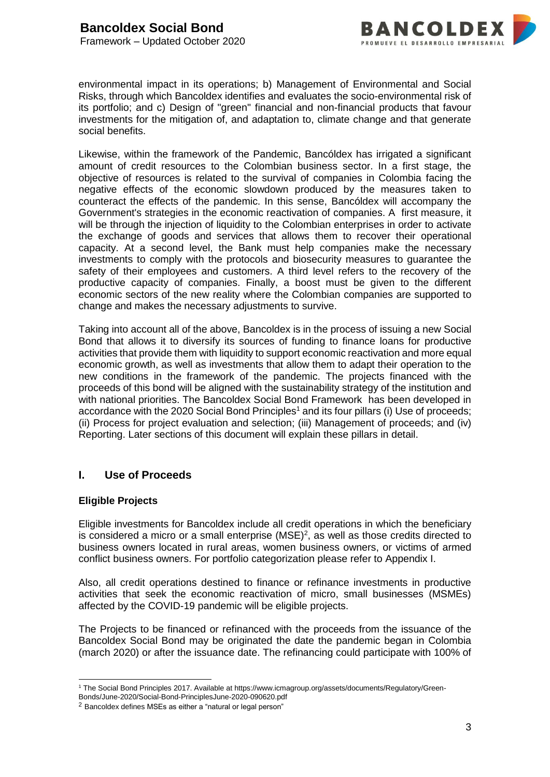

environmental impact in its operations; b) Management of Environmental and Social Risks, through which Bancoldex identifies and evaluates the socio-environmental risk of its portfolio; and c) Design of "green" financial and non-financial products that favour investments for the mitigation of, and adaptation to, climate change and that generate social benefits.

Likewise, within the framework of the Pandemic, Bancóldex has irrigated a significant amount of credit resources to the Colombian business sector. In a first stage, the objective of resources is related to the survival of companies in Colombia facing the negative effects of the economic slowdown produced by the measures taken to counteract the effects of the pandemic. In this sense, Bancóldex will accompany the Government's strategies in the economic reactivation of companies. A first measure, it will be through the injection of liquidity to the Colombian enterprises in order to activate the exchange of goods and services that allows them to recover their operational capacity. At a second level, the Bank must help companies make the necessary investments to comply with the protocols and biosecurity measures to guarantee the safety of their employees and customers. A third level refers to the recovery of the productive capacity of companies. Finally, a boost must be given to the different economic sectors of the new reality where the Colombian companies are supported to change and makes the necessary adjustments to survive.

Taking into account all of the above, Bancoldex is in the process of issuing a new Social Bond that allows it to diversify its sources of funding to finance loans for productive activities that provide them with liquidity to support economic reactivation and more equal economic growth, as well as investments that allow them to adapt their operation to the new conditions in the framework of the pandemic. The projects financed with the proceeds of this bond will be aligned with the sustainability strategy of the institution and with national priorities. The Bancoldex Social Bond Framework has been developed in accordance with the 2020 Social Bond Principles<sup>1</sup> and its four pillars (i) Use of proceeds; (ii) Process for project evaluation and selection; (iii) Management of proceeds; and (iv) Reporting. Later sections of this document will explain these pillars in detail.

#### **I. Use of Proceeds**

#### **Eligible Projects**

Eligible investments for Bancoldex include all credit operations in which the beneficiary is considered a micro or a small enterprise  $(MSE)^2$ , as well as those credits directed to business owners located in rural areas, women business owners, or victims of armed conflict business owners. For portfolio categorization please refer to Appendix I.

Also, all credit operations destined to finance or refinance investments in productive activities that seek the economic reactivation of micro, small businesses (MSMEs) affected by the COVID-19 pandemic will be eligible projects.

The Projects to be financed or refinanced with the proceeds from the issuance of the Bancoldex Social Bond may be originated the date the pandemic began in Colombia (march 2020) or after the issuance date. The refinancing could participate with 100% of

<sup>-</sup><sup>1</sup> The Social Bond Principles 2017. Available at https://www.icmagroup.org/assets/documents/Regulatory/Green-

Bonds/June-2020/Social-Bond-PrinciplesJune-2020-090620.pdf

<sup>2</sup> Bancoldex defines MSEs as either a "natural or legal person"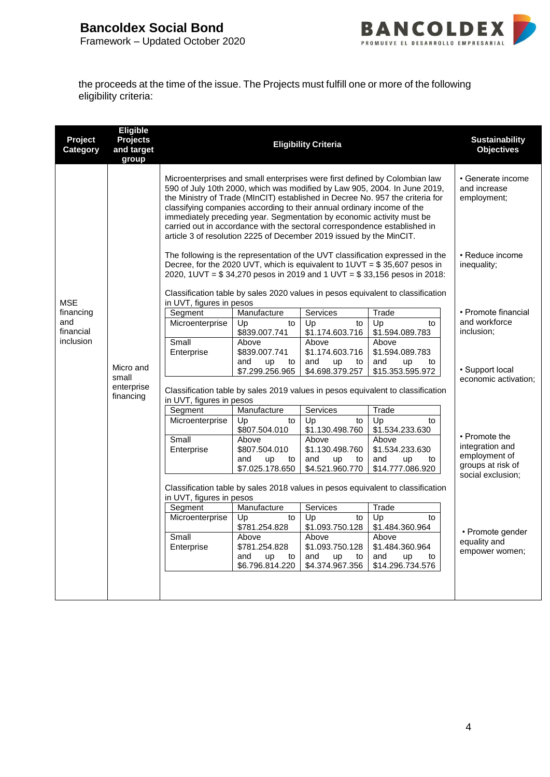

the proceeds at the time of the issue. The Projects must fulfill one or more of the following eligibility criteria:

| Project<br>Category | Eligible<br><b>Projects</b><br>and target<br>group |                          |                                                                                                                                                                                                                        | <b>Eligibility Criteria</b>                 |                                                                                                                                                                                                                                                                                                                            | <b>Sustainability</b><br><b>Objectives</b>       |
|---------------------|----------------------------------------------------|--------------------------|------------------------------------------------------------------------------------------------------------------------------------------------------------------------------------------------------------------------|---------------------------------------------|----------------------------------------------------------------------------------------------------------------------------------------------------------------------------------------------------------------------------------------------------------------------------------------------------------------------------|--------------------------------------------------|
|                     |                                                    |                          | classifying companies according to their annual ordinary income of the<br>immediately preceding year. Segmentation by economic activity must be<br>article 3 of resolution 2225 of December 2019 issued by the MinCIT. |                                             | Microenterprises and small enterprises were first defined by Colombian law<br>590 of July 10th 2000, which was modified by Law 905, 2004. In June 2019,<br>the Ministry of Trade (MInCIT) established in Decree No. 957 the criteria for<br>carried out in accordance with the sectoral correspondence established in      | • Generate income<br>and increase<br>employment; |
| <b>MSE</b>          |                                                    | in UVT, figures in pesos |                                                                                                                                                                                                                        |                                             | The following is the representation of the UVT classification expressed in the<br>Decree, for the 2020 UVT, which is equivalent to $1UVT = $35,607$ pesos in<br>2020, 1UVT = \$34,270 pesos in 2019 and 1 UVT = \$33,156 pesos in 2018:<br>Classification table by sales 2020 values in pesos equivalent to classification | • Reduce income<br>inequality;                   |
| financing           |                                                    | Segment                  | Manufacture                                                                                                                                                                                                            | Services                                    | Trade                                                                                                                                                                                                                                                                                                                      | • Promote financial                              |
| and<br>financial    |                                                    | Microenterprise          | Up<br>to<br>\$839.007.741                                                                                                                                                                                              | Up<br>to<br>\$1.174.603.716                 | Up<br>to<br>\$1.594.089.783                                                                                                                                                                                                                                                                                                | and workforce<br>inclusion;                      |
| inclusion           |                                                    | Small<br>Enterprise      | Above<br>\$839.007.741<br>and<br><b>up</b><br>to                                                                                                                                                                       | Above<br>\$1.174.603.716<br>and<br>up<br>to | Above<br>\$1.594.089.783<br>and<br>up<br>to                                                                                                                                                                                                                                                                                |                                                  |
|                     | Micro and                                          |                          | \$7.299.256.965                                                                                                                                                                                                        | \$4.698.379.257                             | \$15.353.595.972                                                                                                                                                                                                                                                                                                           | · Support local                                  |
|                     | small<br>enterprise<br>financing                   | in UVT, figures in pesos |                                                                                                                                                                                                                        |                                             | Classification table by sales 2019 values in pesos equivalent to classification                                                                                                                                                                                                                                            | economic activation;                             |
|                     |                                                    | Segment                  | Manufacture                                                                                                                                                                                                            | Services                                    | Trade                                                                                                                                                                                                                                                                                                                      |                                                  |
|                     |                                                    | Microenterprise          | Up<br>to<br>\$807.504.010                                                                                                                                                                                              | Up<br>to<br>\$1.130.498.760                 | Up<br>to<br>\$1.534.233.630                                                                                                                                                                                                                                                                                                |                                                  |
|                     |                                                    | Small<br>Enterprise      | Above<br>\$807.504.010                                                                                                                                                                                                 | Above<br>\$1.130.498.760                    | Above<br>\$1.534.233.630                                                                                                                                                                                                                                                                                                   | • Promote the<br>integration and                 |
|                     |                                                    |                          | and<br><b>up</b><br>to<br>\$7.025.178.650                                                                                                                                                                              | and<br>up<br>to<br>\$4.521.960.770          | and<br>up<br>to<br>\$14.777.086.920                                                                                                                                                                                                                                                                                        | employment of<br>groups at risk of               |
|                     |                                                    | in UVT, figures in pesos |                                                                                                                                                                                                                        |                                             | Classification table by sales 2018 values in pesos equivalent to classification                                                                                                                                                                                                                                            | social exclusion;                                |
|                     |                                                    | Segment                  | Manufacture                                                                                                                                                                                                            | Services                                    | Trade                                                                                                                                                                                                                                                                                                                      |                                                  |
|                     |                                                    | Microenterprise          | Up<br>to<br>\$781.254.828                                                                                                                                                                                              | Up<br>to<br>\$1.093.750.128                 | Up<br>to<br>\$1.484.360.964                                                                                                                                                                                                                                                                                                | • Promote gender                                 |
|                     |                                                    | Small<br>Enterprise      | Above<br>\$781.254.828                                                                                                                                                                                                 | Above<br>\$1.093.750.128                    | Above<br>\$1.484.360.964                                                                                                                                                                                                                                                                                                   | equality and                                     |
|                     |                                                    |                          | and<br>up<br>to<br>\$6.796.814.220                                                                                                                                                                                     | and<br>up<br>to<br>\$4.374.967.356          | and<br>up<br>to<br>\$14.296.734.576                                                                                                                                                                                                                                                                                        | empower women;                                   |
|                     |                                                    |                          |                                                                                                                                                                                                                        |                                             |                                                                                                                                                                                                                                                                                                                            |                                                  |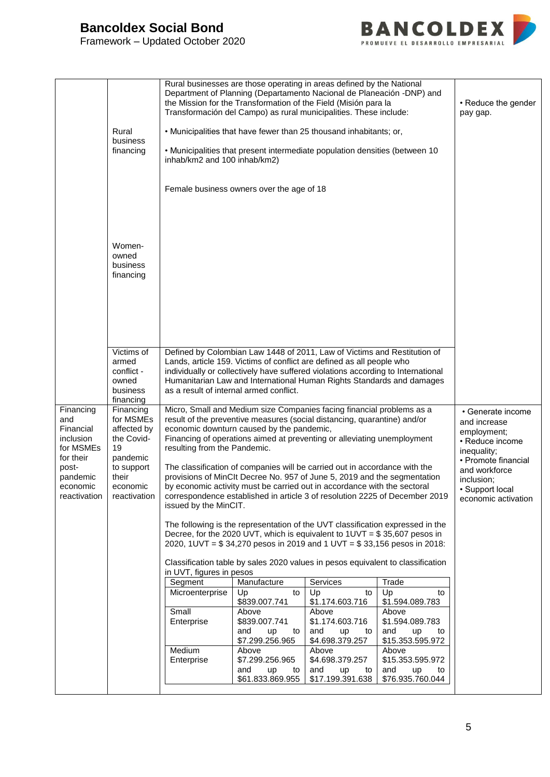# **Bancoldex Social Bond**

Framework – Updated October 2020



|                                                                                                                       | Rural<br>business<br>financing                                                                                           | inhab/km2 and 100 inhab/km2)                          | Female business owners over the age of 18 | Rural businesses are those operating in areas defined by the National<br>Department of Planning (Departamento Nacional de Planeación -DNP) and<br>the Mission for the Transformation of the Field (Misión para la<br>Transformación del Campo) as rural municipalities. These include:<br>• Municipalities that have fewer than 25 thousand inhabitants; or,<br>. Municipalities that present intermediate population densities (between 10                                                                                                                                                                                                                                                                                                                                                  |                                     | • Reduce the gender<br>pay gap.                                                                                                                                                    |
|-----------------------------------------------------------------------------------------------------------------------|--------------------------------------------------------------------------------------------------------------------------|-------------------------------------------------------|-------------------------------------------|----------------------------------------------------------------------------------------------------------------------------------------------------------------------------------------------------------------------------------------------------------------------------------------------------------------------------------------------------------------------------------------------------------------------------------------------------------------------------------------------------------------------------------------------------------------------------------------------------------------------------------------------------------------------------------------------------------------------------------------------------------------------------------------------|-------------------------------------|------------------------------------------------------------------------------------------------------------------------------------------------------------------------------------|
|                                                                                                                       | Women-<br>owned<br>business<br>financing                                                                                 |                                                       |                                           |                                                                                                                                                                                                                                                                                                                                                                                                                                                                                                                                                                                                                                                                                                                                                                                              |                                     |                                                                                                                                                                                    |
|                                                                                                                       | Victims of<br>armed<br>conflict -<br>owned<br>business<br>financing                                                      |                                                       | as a result of internal armed conflict.   | Defined by Colombian Law 1448 of 2011, Law of Victims and Restitution of<br>Lands, article 159. Victims of conflict are defined as all people who<br>individually or collectively have suffered violations according to International<br>Humanitarian Law and International Human Rights Standards and damages                                                                                                                                                                                                                                                                                                                                                                                                                                                                               |                                     |                                                                                                                                                                                    |
| Financing<br>and<br>Financial<br>inclusion<br>for MSMEs<br>for their<br>post-<br>pandemic<br>economic<br>reactivation | Financing<br>for MSMEs<br>affected by<br>the Covid-<br>19<br>pandemic<br>to support<br>their<br>economic<br>reactivation | resulting from the Pandemic.<br>issued by the MinCIT. | economic downturn caused by the pandemic, | Micro, Small and Medium size Companies facing financial problems as a<br>result of the preventive measures (social distancing, quarantine) and/or<br>Financing of operations aimed at preventing or alleviating unemployment<br>The classification of companies will be carried out in accordance with the<br>provisions of MinClt Decree No. 957 of June 5, 2019 and the segmentation<br>by economic activity must be carried out in accordance with the sectoral<br>correspondence established in article 3 of resolution 2225 of December 2019<br>The following is the representation of the UVT classification expressed in the<br>Decree, for the 2020 UVT, which is equivalent to $1UVT = $35,607$ pesos in<br>2020, 1UVT = \$34,270 pesos in 2019 and 1 UVT = \$33,156 pesos in 2018: |                                     | • Generate income<br>and increase<br>employment;<br>• Reduce income<br>inequality;<br>• Promote financial<br>and workforce<br>inclusion;<br>· Support local<br>economic activation |
|                                                                                                                       |                                                                                                                          | in UVT, figures in pesos                              |                                           | Classification table by sales 2020 values in pesos equivalent to classification                                                                                                                                                                                                                                                                                                                                                                                                                                                                                                                                                                                                                                                                                                              |                                     |                                                                                                                                                                                    |
|                                                                                                                       |                                                                                                                          | Segment                                               | Manufacture                               | Services                                                                                                                                                                                                                                                                                                                                                                                                                                                                                                                                                                                                                                                                                                                                                                                     | Trade                               |                                                                                                                                                                                    |
|                                                                                                                       |                                                                                                                          | Microenterprise                                       | Up<br>to                                  | Up<br>to                                                                                                                                                                                                                                                                                                                                                                                                                                                                                                                                                                                                                                                                                                                                                                                     | Up<br>to                            |                                                                                                                                                                                    |
|                                                                                                                       |                                                                                                                          | Small                                                 | \$839.007.741<br>Above                    | \$1.174.603.716<br>Above                                                                                                                                                                                                                                                                                                                                                                                                                                                                                                                                                                                                                                                                                                                                                                     | \$1.594.089.783<br>Above            |                                                                                                                                                                                    |
|                                                                                                                       |                                                                                                                          | Enterprise                                            | \$839.007.741                             | \$1.174.603.716                                                                                                                                                                                                                                                                                                                                                                                                                                                                                                                                                                                                                                                                                                                                                                              | \$1.594.089.783                     |                                                                                                                                                                                    |
|                                                                                                                       |                                                                                                                          |                                                       | and<br>up<br>to                           | and<br>up<br>to                                                                                                                                                                                                                                                                                                                                                                                                                                                                                                                                                                                                                                                                                                                                                                              | and<br>up<br>to                     |                                                                                                                                                                                    |
|                                                                                                                       |                                                                                                                          |                                                       | \$7.299.256.965                           | \$4.698.379.257                                                                                                                                                                                                                                                                                                                                                                                                                                                                                                                                                                                                                                                                                                                                                                              | \$15.353.595.972                    |                                                                                                                                                                                    |
|                                                                                                                       |                                                                                                                          | Medium                                                | Above                                     | Above<br>\$4.698.379.257                                                                                                                                                                                                                                                                                                                                                                                                                                                                                                                                                                                                                                                                                                                                                                     | Above                               |                                                                                                                                                                                    |
|                                                                                                                       |                                                                                                                          | Enterprise                                            | \$7.299.256.965<br>and<br>up<br>to        | and<br>up<br>to                                                                                                                                                                                                                                                                                                                                                                                                                                                                                                                                                                                                                                                                                                                                                                              | \$15.353.595.972<br>and<br>up<br>to |                                                                                                                                                                                    |
|                                                                                                                       |                                                                                                                          |                                                       | \$61.833.869.955                          | \$17.199.391.638                                                                                                                                                                                                                                                                                                                                                                                                                                                                                                                                                                                                                                                                                                                                                                             | \$76.935.760.044                    |                                                                                                                                                                                    |
|                                                                                                                       |                                                                                                                          |                                                       |                                           |                                                                                                                                                                                                                                                                                                                                                                                                                                                                                                                                                                                                                                                                                                                                                                                              |                                     |                                                                                                                                                                                    |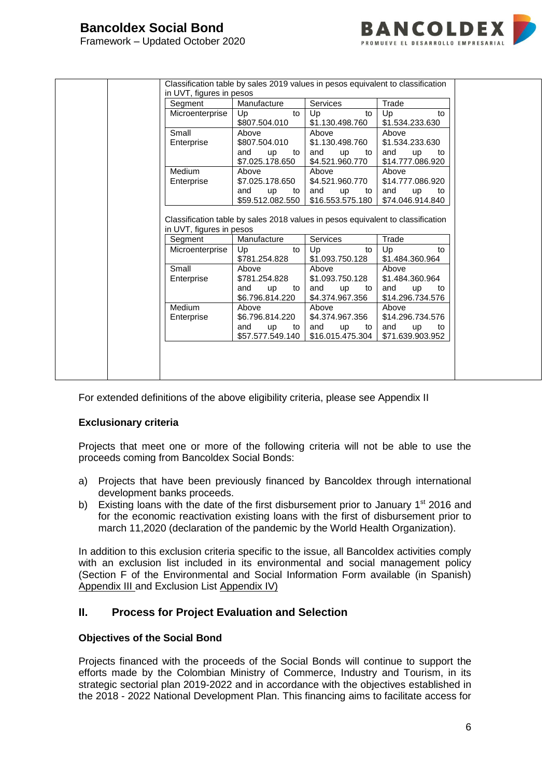

| in UVT, figures in pesos<br>Segment | Classification table by sales 2019 values in pesos equivalent to classification<br>Manufacture | <b>Services</b>                           | Trade                                                                                                |
|-------------------------------------|------------------------------------------------------------------------------------------------|-------------------------------------------|------------------------------------------------------------------------------------------------------|
| Microenterprise                     | Up<br>to                                                                                       | Up<br>to                                  | Up<br>to                                                                                             |
|                                     | \$807.504.010                                                                                  | \$1.130.498.760                           | \$1.534.233.630                                                                                      |
| Small                               | Above                                                                                          | Above                                     | Above                                                                                                |
| Enterprise                          | \$807.504.010                                                                                  | \$1.130.498.760                           | \$1.534.233.630                                                                                      |
|                                     | and<br>up<br>to<br>\$7.025.178.650                                                             | and<br><b>up</b><br>to<br>\$4.521.960.770 | and<br>up<br>to<br>\$14.777.086.920                                                                  |
| Medium                              | Above                                                                                          | Above                                     | Above                                                                                                |
| Enterprise                          | \$7.025.178.650                                                                                | \$4.521.960.770                           | \$14.777.086.920                                                                                     |
|                                     | and<br><b>up</b><br>to                                                                         | and<br>up<br>to                           | and<br><b>up</b><br>to                                                                               |
|                                     | \$59.512.082.550                                                                               | \$16.553.575.180                          | \$74.046.914.840                                                                                     |
| in UVT, figures in pesos            |                                                                                                |                                           |                                                                                                      |
|                                     |                                                                                                |                                           |                                                                                                      |
| Segment<br>Microenterprise          | Manufacture<br>Up<br>to                                                                        | Services<br>Up<br>to                      | Classification table by sales 2018 values in pesos equivalent to classification<br>Trade<br>Up<br>to |
|                                     | \$781.254.828                                                                                  | \$1.093.750.128                           | \$1.484.360.964                                                                                      |
| Small                               | Above                                                                                          | Above                                     | Above                                                                                                |
| Enterprise                          | \$781.254.828                                                                                  | \$1.093.750.128                           | \$1,484,360,964                                                                                      |
|                                     | and<br><b>up</b><br>to                                                                         | and<br><b>up</b><br>to                    | and<br>up<br>to                                                                                      |
|                                     | \$6.796.814.220                                                                                | \$4.374.967.356                           | \$14.296.734.576                                                                                     |
| Medium                              | Above                                                                                          | Above                                     | Above                                                                                                |
| Enterprise                          | \$6.796.814.220                                                                                | \$4.374.967.356                           | \$14.296.734.576                                                                                     |
|                                     | and<br><b>up</b><br>to<br>\$57.577.549.140                                                     | and<br>up<br>to<br>\$16.015.475.304       | and<br><b>up</b><br>to<br>\$71.639.903.952                                                           |

For extended definitions of the above eligibility criteria, please see Appendix II

#### **Exclusionary criteria**

Projects that meet one or more of the following criteria will not be able to use the proceeds coming from Bancoldex Social Bonds:

- a) Projects that have been previously financed by Bancoldex through international development banks proceeds.
- b) Existing loans with the date of the first disbursement prior to January 1<sup>st</sup> 2016 and for the economic reactivation existing loans with the first of disbursement prior to march 11,2020 (declaration of the pandemic by the World Health Organization).

In addition to this exclusion criteria specific to the issue, all Bancoldex activities comply with an exclusion list included in its environmental and social management policy (Section F of the Environmental and Social Information Form available (in Spanish) Appendix III and Exclusion List Appendix IV)

#### **II. Process for Project Evaluation and Selection**

#### **Objectives of the Social Bond**

Projects financed with the proceeds of the Social Bonds will continue to support the efforts made by the Colombian Ministry of Commerce, Industry and Tourism, in its strategic sectorial plan 2019-2022 and in accordance with the objectives established in the 2018 - 2022 National Development Plan. This financing aims to facilitate access for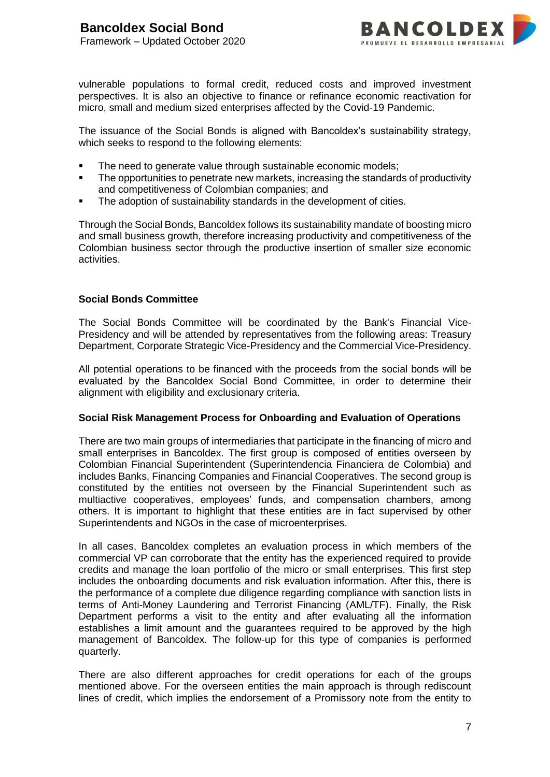

vulnerable populations to formal credit, reduced costs and improved investment perspectives. It is also an objective to finance or refinance economic reactivation for micro, small and medium sized enterprises affected by the Covid-19 Pandemic.

The issuance of the Social Bonds is aligned with Bancoldex's sustainability strategy, which seeks to respond to the following elements:

- The need to generate value through sustainable economic models;
- The opportunities to penetrate new markets, increasing the standards of productivity and competitiveness of Colombian companies; and
- The adoption of sustainability standards in the development of cities.

Through the Social Bonds, Bancoldex follows its sustainability mandate of boosting micro and small business growth, therefore increasing productivity and competitiveness of the Colombian business sector through the productive insertion of smaller size economic activities.

#### **Social Bonds Committee**

The Social Bonds Committee will be coordinated by the Bank's Financial Vice-Presidency and will be attended by representatives from the following areas: Treasury Department, Corporate Strategic Vice-Presidency and the Commercial Vice-Presidency.

All potential operations to be financed with the proceeds from the social bonds will be evaluated by the Bancoldex Social Bond Committee, in order to determine their alignment with eligibility and exclusionary criteria.

#### **Social Risk Management Process for Onboarding and Evaluation of Operations**

There are two main groups of intermediaries that participate in the financing of micro and small enterprises in Bancoldex. The first group is composed of entities overseen by Colombian Financial Superintendent (Superintendencia Financiera de Colombia) and includes Banks, Financing Companies and Financial Cooperatives. The second group is constituted by the entities not overseen by the Financial Superintendent such as multiactive cooperatives, employees' funds, and compensation chambers, among others. It is important to highlight that these entities are in fact supervised by other Superintendents and NGOs in the case of microenterprises.

In all cases, Bancoldex completes an evaluation process in which members of the commercial VP can corroborate that the entity has the experienced required to provide credits and manage the loan portfolio of the micro or small enterprises. This first step includes the onboarding documents and risk evaluation information. After this, there is the performance of a complete due diligence regarding compliance with sanction lists in terms of Anti-Money Laundering and Terrorist Financing (AML/TF). Finally, the Risk Department performs a visit to the entity and after evaluating all the information establishes a limit amount and the guarantees required to be approved by the high management of Bancoldex. The follow-up for this type of companies is performed quarterly.

There are also different approaches for credit operations for each of the groups mentioned above. For the overseen entities the main approach is through rediscount lines of credit, which implies the endorsement of a Promissory note from the entity to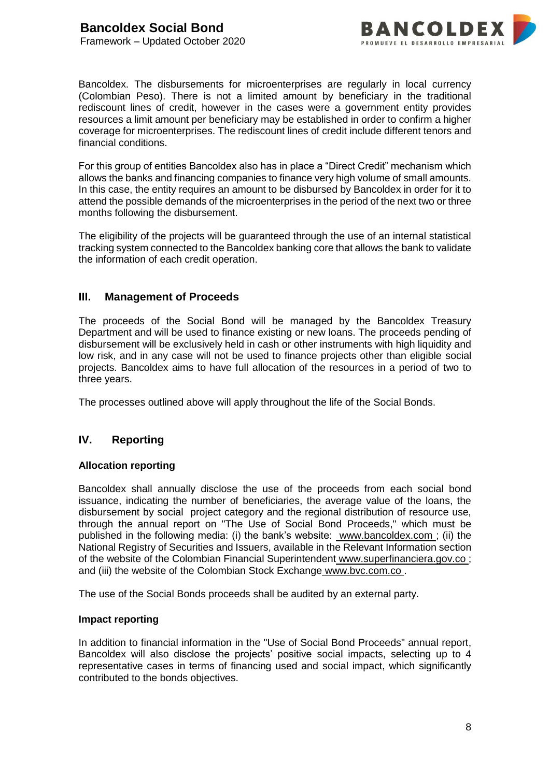

Bancoldex. The disbursements for microenterprises are regularly in local currency (Colombian Peso). There is not a limited amount by beneficiary in the traditional rediscount lines of credit, however in the cases were a government entity provides resources a limit amount per beneficiary may be established in order to confirm a higher coverage for microenterprises. The rediscount lines of credit include different tenors and financial conditions.

For this group of entities Bancoldex also has in place a "Direct Credit" mechanism which allows the banks and financing companies to finance very high volume of small amounts. In this case, the entity requires an amount to be disbursed by Bancoldex in order for it to attend the possible demands of the microenterprises in the period of the next two or three months following the disbursement.

The eligibility of the projects will be guaranteed through the use of an internal statistical tracking system connected to the Bancoldex banking core that allows the bank to validate the information of each credit operation.

#### **III. Management of Proceeds**

The proceeds of the Social Bond will be managed by the Bancoldex Treasury Department and will be used to finance existing or new loans. The proceeds pending of disbursement will be exclusively held in cash or other instruments with high liquidity and low risk, and in any case will not be used to finance projects other than eligible social projects. Bancoldex aims to have full allocation of the resources in a period of two to three years.

The processes outlined above will apply throughout the life of the Social Bonds.

## **IV. Reporting**

#### **Allocation reporting**

Bancoldex shall annually disclose the use of the proceeds from each social bond issuance, indicating the number of beneficiaries, the average value of the loans, the disbursement by social project category and the regional distribution of resource use, through the annual report on "The Use of Social Bond Proceeds," which must be published in the following media: (i) the bank's website: [www.bancoldex.com ;](file:///C:/Users/Juan/Documents/Pesquisas%20Juan/Greenbonds/www.bancoldex.com) (ii) the National Registry of Securities and Issuers, available in the Relevant Information section of the website of the Colombian Financial Superintendent [www.superfinanciera.gov.co ;](http://www.superfinanciera.gov.co/) and (iii) the website of the Colombian Stock Exchange [www.bvc.com.co .](file:///C:/Users/Juan/Documents/Pesquisas%20Juan/Greenbonds/www.bvc.com.co)

The use of the Social Bonds proceeds shall be audited by an external party.

#### **Impact reporting**

In addition to financial information in the "Use of Social Bond Proceeds" annual report, Bancoldex will also disclose the projects' positive social impacts, selecting up to 4 representative cases in terms of financing used and social impact, which significantly contributed to the bonds objectives.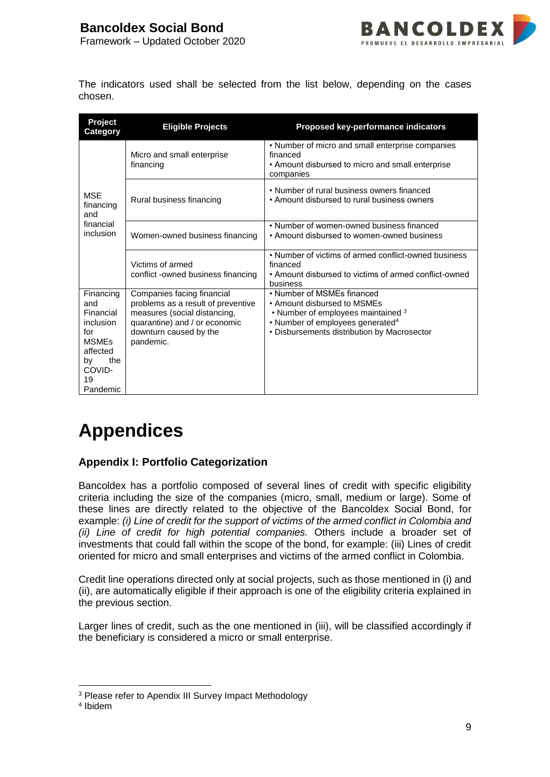

The indicators used shall be selected from the list below, depending on the cases chosen.

| Project<br><b>Category</b>                                                                                             | <b>Eligible Projects</b>                                                                                                                                                 | Proposed key-performance indicators                                                                                                                                                            |
|------------------------------------------------------------------------------------------------------------------------|--------------------------------------------------------------------------------------------------------------------------------------------------------------------------|------------------------------------------------------------------------------------------------------------------------------------------------------------------------------------------------|
|                                                                                                                        | Micro and small enterprise<br>financing                                                                                                                                  | • Number of micro and small enterprise companies<br>financed<br>• Amount disbursed to micro and small enterprise<br>companies                                                                  |
| <b>MSF</b><br>financing<br>and                                                                                         | Rural business financing                                                                                                                                                 | • Number of rural business owners financed<br>• Amount disbursed to rural business owners                                                                                                      |
| financial<br>inclusion                                                                                                 | Women-owned business financing                                                                                                                                           | • Number of women-owned business financed<br>• Amount disbursed to women-owned business                                                                                                        |
|                                                                                                                        | Victims of armed<br>conflict -owned business financing                                                                                                                   | • Number of victims of armed conflict-owned business<br>financed<br>• Amount disbursed to victims of armed conflict-owned<br>business                                                          |
| Financing<br>and<br>Financial<br>inclusion<br>for<br><b>MSMEs</b><br>affected<br>the<br>by<br>COVID-<br>19<br>Pandemic | Companies facing financial<br>problems as a result of preventive<br>measures (social distancing,<br>quarantine) and / or economic<br>downturn caused by the<br>pandemic. | • Number of MSMEs financed<br>• Amount disbursed to MSMEs<br>• Number of employees maintained 3<br>• Number of employees generated <sup>4</sup><br>• Disbursements distribution by Macrosector |

# **Appendices**

# **Appendix I: Portfolio Categorization**

Bancoldex has a portfolio composed of several lines of credit with specific eligibility criteria including the size of the companies (micro, small, medium or large). Some of these lines are directly related to the objective of the Bancoldex Social Bond, for example: *(i) Line of credit for the support of victims of the armed conflict in Colombia and (ii) Line of credit for high potential companies.* Others include a broader set of investments that could fall within the scope of the bond, for example: (iii) Lines of credit oriented for micro and small enterprises and victims of the armed conflict in Colombia.

Credit line operations directed only at social projects, such as those mentioned in (i) and (ii), are automatically eligible if their approach is one of the eligibility criteria explained in the previous section.

Larger lines of credit, such as the one mentioned in (iii), will be classified accordingly if the beneficiary is considered a micro or small enterprise.

1 <sup>3</sup> Please refer to Apendix III Survey Impact Methodology

<sup>4</sup> Ibidem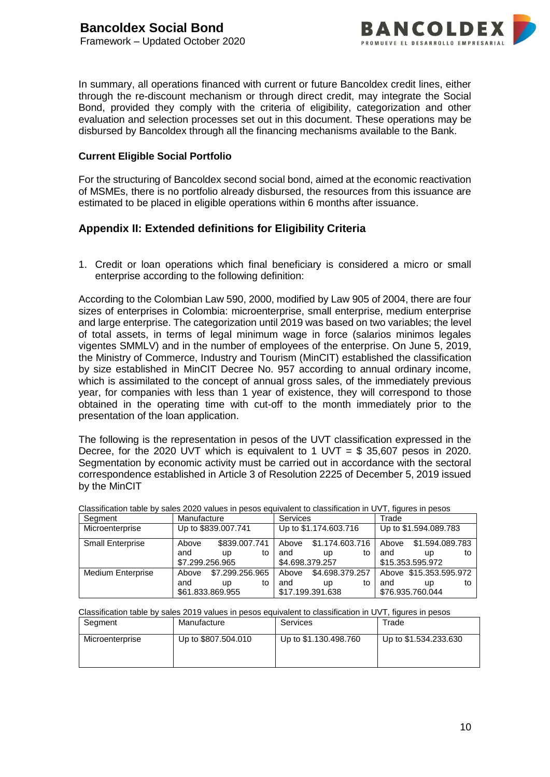

In summary, all operations financed with current or future Bancoldex credit lines, either through the re-discount mechanism or through direct credit, may integrate the Social Bond, provided they comply with the criteria of eligibility, categorization and other evaluation and selection processes set out in this document. These operations may be disbursed by Bancoldex through all the financing mechanisms available to the Bank.

#### **Current Eligible Social Portfolio**

For the structuring of Bancoldex second social bond, aimed at the economic reactivation of MSMEs, there is no portfolio already disbursed, the resources from this issuance are estimated to be placed in eligible operations within 6 months after issuance.

#### **Appendix II: Extended definitions for Eligibility Criteria**

1. Credit or loan operations which final beneficiary is considered a micro or small enterprise according to the following definition:

According to the Colombian Law 590, 2000, modified by Law 905 of 2004, there are four sizes of enterprises in Colombia: microenterprise, small enterprise, medium enterprise and large enterprise. The categorization until 2019 was based on two variables; the level of total assets, in terms of legal minimum wage in force (salarios minimos legales vigentes SMMLV) and in the number of employees of the enterprise. On June 5, 2019, the Ministry of Commerce, Industry and Tourism (MinCIT) established the classification by size established in MinCIT Decree No. 957 according to annual ordinary income, which is assimilated to the concept of annual gross sales, of the immediately previous year, for companies with less than 1 year of existence, they will correspond to those obtained in the operating time with cut-off to the month immediately prior to the presentation of the loan application.

The following is the representation in pesos of the UVT classification expressed in the Decree, for the 2020 UVT which is equivalent to 1 UVT =  $$35,607$  pesos in 2020. Segmentation by economic activity must be carried out in accordance with the sectoral correspondence established in Article 3 of Resolution 2225 of December 5, 2019 issued by the MinCIT

| Segment                  | Manufacture                      |                       |    | <b>Services</b> |                                                 |    | Trade        |                                                  |    |
|--------------------------|----------------------------------|-----------------------|----|-----------------|-------------------------------------------------|----|--------------|--------------------------------------------------|----|
| Microenterprise          |                                  | Up to \$839.007.741   |    |                 | Up to \$1.174.603.716                           |    |              | Up to \$1.594.089.783                            |    |
| <b>Small Enterprise</b>  | Above<br>and<br>\$7.299.256.965  | \$839,007,741<br>up   | to | and             | Above \$1,174,603,716<br>up<br>\$4.698.379.257  | to | Above<br>and | \$1.594.089.783<br>up<br>\$15.353.595.972        | to |
| <b>Medium Enterprise</b> | Above<br>and<br>\$61.833.869.955 | \$7.299.256.965<br>up | to | and             | Above \$4,698,379,257<br>up<br>\$17.199.391.638 | to | and          | Above \$15.353.595.972<br>up<br>\$76.935.760.044 | to |

Classification table by sales 2020 values in pesos equivalent to classification in UVT, figures in pesos

Classification table by sales 2019 values in pesos equivalent to classification in UVT, figures in pesos

| Segment         | Manufacture         | Services              | Trade                 |
|-----------------|---------------------|-----------------------|-----------------------|
| Microenterprise | Up to \$807.504.010 | Up to \$1.130.498.760 | Up to \$1.534.233.630 |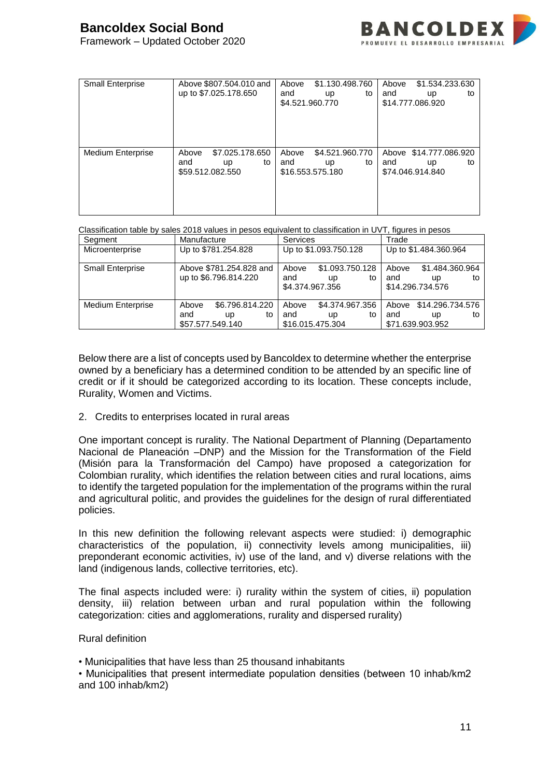

| <b>Small Enterprise</b>  | Above \$807.504.010 and<br>up to \$7.025.178.650                | \$1.130.498.760<br>Above<br>and<br>to<br><b>up</b><br>\$4.521.960.770  | Above<br>\$1.534.233.630<br>and<br>to<br>up<br>\$14.777.086.920 |
|--------------------------|-----------------------------------------------------------------|------------------------------------------------------------------------|-----------------------------------------------------------------|
| <b>Medium Enterprise</b> | Above<br>\$7.025.178.650<br>and<br>to<br>up<br>\$59.512.082.550 | Above<br>\$4.521.960.770<br>and<br>to<br><b>up</b><br>\$16.553.575.180 | Above \$14.777.086.920<br>and<br>to<br>up<br>\$74.046.914.840   |

Classification table by sales 2018 values in pesos equivalent to classification in UVT, figures in pesos

| Segment                  | Manufacture                                      | <b>Services</b>                                                | Trade                                                           |
|--------------------------|--------------------------------------------------|----------------------------------------------------------------|-----------------------------------------------------------------|
| Microenterprise          | Up to \$781.254.828                              | Up to \$1.093.750.128                                          | Up to \$1.484.360.964                                           |
| <b>Small Enterprise</b>  | Above \$781.254.828 and<br>up to \$6.796.814.220 | \$1.093.750.128<br>Above<br>and<br>to<br>up<br>\$4,374,967,356 | \$1.484.360.964<br>Above<br>and<br>to<br>up<br>\$14.296.734.576 |
| <b>Medium Enterprise</b> | \$6.796.814.220<br>Above<br>and<br>to<br>up      | \$4.374.967.356<br>Above<br>and<br>to<br>up                    | \$14.296.734.576<br>Above<br>and<br>to<br>up                    |
|                          | \$57.577.549.140                                 | \$16.015.475.304                                               | \$71.639.903.952                                                |

Below there are a list of concepts used by Bancoldex to determine whether the enterprise owned by a beneficiary has a determined condition to be attended by an specific line of credit or if it should be categorized according to its location. These concepts include, Rurality, Women and Victims.

2. Credits to enterprises located in rural areas

One important concept is rurality. The National Department of Planning (Departamento Nacional de Planeación –DNP) and the Mission for the Transformation of the Field (Misión para la Transformación del Campo) have proposed a categorization for Colombian rurality, which identifies the relation between cities and rural locations, aims to identify the targeted population for the implementation of the programs within the rural and agricultural politic, and provides the guidelines for the design of rural differentiated policies.

In this new definition the following relevant aspects were studied: i) demographic characteristics of the population, ii) connectivity levels among municipalities, iii) preponderant economic activities, iv) use of the land, and v) diverse relations with the land (indigenous lands, collective territories, etc).

The final aspects included were: i) rurality within the system of cities, ii) population density, iii) relation between urban and rural population within the following categorization: cities and agglomerations, rurality and dispersed rurality)

Rural definition

• Municipalities that have less than 25 thousand inhabitants

• Municipalities that present intermediate population densities (between 10 inhab/km2 and 100 inhab/km2)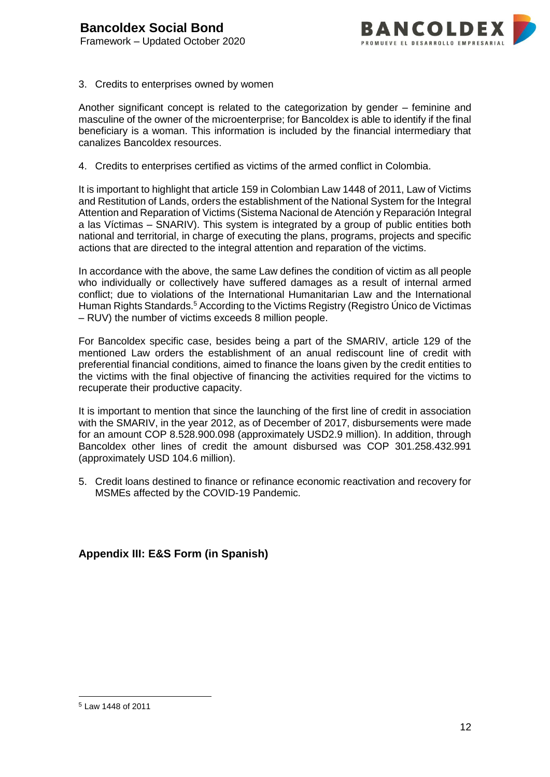

#### 3. Credits to enterprises owned by women

Another significant concept is related to the categorization by gender – feminine and masculine of the owner of the microenterprise; for Bancoldex is able to identify if the final beneficiary is a woman. This information is included by the financial intermediary that canalizes Bancoldex resources.

4. Credits to enterprises certified as victims of the armed conflict in Colombia.

It is important to highlight that article 159 in Colombian Law 1448 of 2011, Law of Victims and Restitution of Lands, orders the establishment of the National System for the Integral Attention and Reparation of Victims (Sistema Nacional de Atención y Reparación Integral a las Víctimas – SNARIV). This system is integrated by a group of public entities both national and territorial, in charge of executing the plans, programs, projects and specific actions that are directed to the integral attention and reparation of the victims.

In accordance with the above, the same Law defines the condition of victim as all people who individually or collectively have suffered damages as a result of internal armed conflict; due to violations of the International Humanitarian Law and the International Human Rights Standards.<sup>5</sup> According to the Victims Registry (Registro Único de Victimas – RUV) the number of victims exceeds 8 million people.

For Bancoldex specific case, besides being a part of the SMARIV, article 129 of the mentioned Law orders the establishment of an anual rediscount line of credit with preferential financial conditions, aimed to finance the loans given by the credit entities to the victims with the final objective of financing the activities required for the victims to recuperate their productive capacity.

It is important to mention that since the launching of the first line of credit in association with the SMARIV, in the year 2012, as of December of 2017, disbursements were made for an amount COP 8.528.900.098 (approximately USD2.9 million). In addition, through Bancoldex other lines of credit the amount disbursed was COP 301.258.432.991 (approximately USD 104.6 million).

5. Credit loans destined to finance or refinance economic reactivation and recovery for MSMEs affected by the COVID-19 Pandemic.

**Appendix III: E&S Form (in Spanish)**

1

<sup>5</sup> Law 1448 of 2011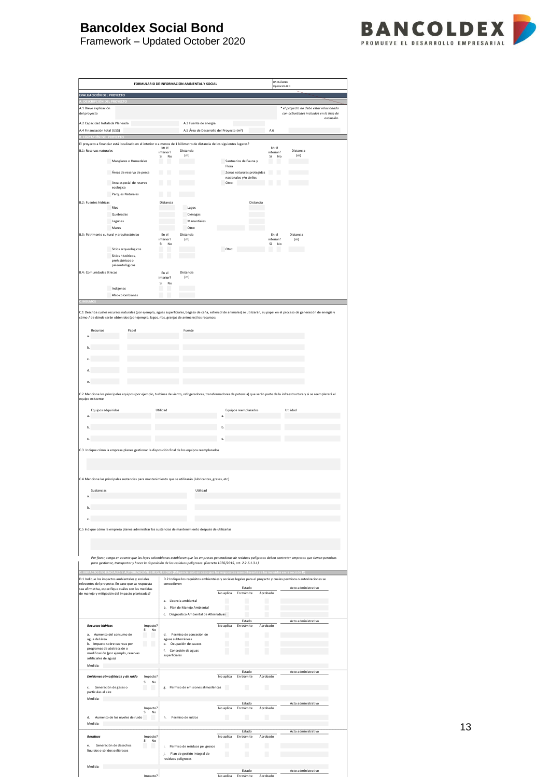# **Bancoldex Social Bond**



Framework – Updated October 2020

| EVALUACIOÓN DEL PROYECTO                                                                                                                                                                                                                                                                                           |                                                                                                                  |                                     |                       | Operación BID                                                                       |
|--------------------------------------------------------------------------------------------------------------------------------------------------------------------------------------------------------------------------------------------------------------------------------------------------------------------|------------------------------------------------------------------------------------------------------------------|-------------------------------------|-----------------------|-------------------------------------------------------------------------------------|
| A.1 Breve explicación<br>del proyecto                                                                                                                                                                                                                                                                              |                                                                                                                  |                                     |                       | * el proyecto no debe estar relacionado<br>con actividades incluidas en la lista de |
| A.2 Capacidad Instalada Planeada                                                                                                                                                                                                                                                                                   | A.3 Fuente de energía                                                                                            |                                     |                       | exclusión.                                                                          |
| A.4 Financiación total (US\$)                                                                                                                                                                                                                                                                                      | A.5 Área de Desarrollo del Proyecto (m <sup>2</sup> )                                                            |                                     | A.6                   |                                                                                     |
| El proyecto a financiar está localizado en el interior o a menos de 1 kilómetro de distancia de los siguientes lugares?                                                                                                                                                                                            |                                                                                                                  |                                     |                       |                                                                                     |
| B.1: Reservas naturales                                                                                                                                                                                                                                                                                            | En el<br>Distancia<br>interior?<br>(m)                                                                           |                                     | En el<br>interior?    | Distancia<br>(m)                                                                    |
| Manglares o Humedales                                                                                                                                                                                                                                                                                              | No<br>Sí<br>ш                                                                                                    | г<br>Santuarios de Fauna y          | Sí<br>No<br>ш         |                                                                                     |
| Áreas de reserva de pesca                                                                                                                                                                                                                                                                                          | ш<br>Ш                                                                                                           | Flora<br>Zonas naturales protegidas | H.                    |                                                                                     |
|                                                                                                                                                                                                                                                                                                                    |                                                                                                                  | nacionales y/o civiles              |                       |                                                                                     |
| Área especial de reserva<br>ecológica                                                                                                                                                                                                                                                                              | L                                                                                                                | Otro:                               |                       |                                                                                     |
| Parques Naturales                                                                                                                                                                                                                                                                                                  | ш<br>Ш                                                                                                           |                                     |                       |                                                                                     |
| <b>B.2: Fuentes hídricas</b><br>Ríos                                                                                                                                                                                                                                                                               | Distancia<br>Lagos                                                                                               | Distancia                           |                       |                                                                                     |
| Quebradas                                                                                                                                                                                                                                                                                                          | Ciénagas                                                                                                         |                                     |                       |                                                                                     |
| Lagunas                                                                                                                                                                                                                                                                                                            | Manantiales                                                                                                      |                                     |                       |                                                                                     |
| Mares<br>B.3: Patrimonio cultural y arquitectónico                                                                                                                                                                                                                                                                 | Otro:<br>En el<br>Distancia                                                                                      |                                     | En el                 | Distancia                                                                           |
|                                                                                                                                                                                                                                                                                                                    | interior?<br>(m)<br>Sí<br>No                                                                                     |                                     | interior?<br>Sí<br>No | (m)                                                                                 |
| Sitios arqueológicos                                                                                                                                                                                                                                                                                               |                                                                                                                  | Otro:                               |                       |                                                                                     |
| Sitios históricos,<br>prehistóricos o                                                                                                                                                                                                                                                                              | ٠<br>L                                                                                                           |                                     |                       |                                                                                     |
| paleontológicos                                                                                                                                                                                                                                                                                                    |                                                                                                                  |                                     |                       |                                                                                     |
| B.4: Comunidades étnicas                                                                                                                                                                                                                                                                                           | Distancia<br>En el<br>(m)<br>interior?                                                                           |                                     |                       |                                                                                     |
| Indígenas                                                                                                                                                                                                                                                                                                          | Sí<br>No                                                                                                         |                                     |                       |                                                                                     |
| Afro-colombianas                                                                                                                                                                                                                                                                                                   |                                                                                                                  |                                     |                       |                                                                                     |
| C.1 Describa cuales recursos naturales (por ejemplo, aguas superficiales, bagazo de caña, estiércol de animales) se utilizarán, su papel en el proceso de generación de energía y<br>cómo / de dónde serán obtenidos (por ejemplo, lagos, ríos, granjas de animales) los recursos:<br>Recursos<br>Papel<br>a<br>b. | Fuente                                                                                                           |                                     |                       |                                                                                     |
|                                                                                                                                                                                                                                                                                                                    |                                                                                                                  |                                     |                       |                                                                                     |
| c.                                                                                                                                                                                                                                                                                                                 |                                                                                                                  |                                     |                       |                                                                                     |
| d.                                                                                                                                                                                                                                                                                                                 |                                                                                                                  |                                     |                       |                                                                                     |
| e.                                                                                                                                                                                                                                                                                                                 |                                                                                                                  |                                     |                       |                                                                                     |
| C.2 Mencione los principales equipos (por ejemplo, turbinas de viento, refrigeradores, transformadores de potencia) que serán parte de la infraestructura y si se reemplazará el                                                                                                                                   |                                                                                                                  |                                     |                       |                                                                                     |
| equipo existente                                                                                                                                                                                                                                                                                                   |                                                                                                                  |                                     |                       |                                                                                     |
| Equipos adquiridos                                                                                                                                                                                                                                                                                                 | Utilidad                                                                                                         | Equipos reemplazados                |                       | Utilidad                                                                            |
| a.                                                                                                                                                                                                                                                                                                                 |                                                                                                                  | a                                   |                       |                                                                                     |
| ь                                                                                                                                                                                                                                                                                                                  |                                                                                                                  |                                     |                       |                                                                                     |
|                                                                                                                                                                                                                                                                                                                    |                                                                                                                  |                                     |                       |                                                                                     |
| c.                                                                                                                                                                                                                                                                                                                 |                                                                                                                  |                                     |                       |                                                                                     |
|                                                                                                                                                                                                                                                                                                                    |                                                                                                                  |                                     |                       |                                                                                     |
| C.3 Indique cómo la empresa planea gestionar la disposición final de los equipos reemplazados                                                                                                                                                                                                                      |                                                                                                                  |                                     |                       |                                                                                     |
|                                                                                                                                                                                                                                                                                                                    |                                                                                                                  |                                     |                       |                                                                                     |
|                                                                                                                                                                                                                                                                                                                    |                                                                                                                  |                                     |                       |                                                                                     |
| C.4 Mencione las principales sustancias para mantenimiento que se utilizarán (lubricantes, grasas, etc)                                                                                                                                                                                                            |                                                                                                                  |                                     |                       |                                                                                     |
| Sustancias                                                                                                                                                                                                                                                                                                         | Utilidad                                                                                                         |                                     |                       |                                                                                     |
| a.                                                                                                                                                                                                                                                                                                                 |                                                                                                                  |                                     |                       |                                                                                     |
| b.                                                                                                                                                                                                                                                                                                                 |                                                                                                                  |                                     |                       |                                                                                     |
| c.                                                                                                                                                                                                                                                                                                                 |                                                                                                                  |                                     |                       |                                                                                     |
| C.5 Indique cómo la empresa planea administrar las sustancias de mantenimiento después de utilizarlas                                                                                                                                                                                                              |                                                                                                                  |                                     |                       |                                                                                     |
|                                                                                                                                                                                                                                                                                                                    |                                                                                                                  |                                     |                       |                                                                                     |
|                                                                                                                                                                                                                                                                                                                    |                                                                                                                  |                                     |                       |                                                                                     |
|                                                                                                                                                                                                                                                                                                                    |                                                                                                                  |                                     |                       |                                                                                     |
| Por favor, tenga en cuenta que las leyes colombianas establecen que las empresas generadoras de residuos peligrosos deben contratar empresas que tienen permisos<br>para gestionar, transportar y hacer la disposición de los residuos peligrosos. (Decreto 1076/2015, art. 2.2.6.1.3.1)                           |                                                                                                                  |                                     |                       |                                                                                     |
|                                                                                                                                                                                                                                                                                                                    |                                                                                                                  |                                     |                       |                                                                                     |
| D.1 Indique los impactos ambientales y sociales                                                                                                                                                                                                                                                                    | D.2 Indique los requisitos ambientales y sociales legales para el proyecto y cuales permisos o autorizaciones se |                                     |                       |                                                                                     |
| relevantes del proyecto. En caso que su respuesta<br>sea afirmativa, especifique cuáles son las medidas                                                                                                                                                                                                            | concedieron                                                                                                      | Estado                              |                       | Acto administrativo                                                                 |
| de manejo y mitigación del Impacto planteadas?                                                                                                                                                                                                                                                                     | a. Licencia ambiental                                                                                            | No aplica<br>En trámite             | Aprobado              |                                                                                     |
|                                                                                                                                                                                                                                                                                                                    | Plan de Manejo Ambiental<br>b.                                                                                   | H.<br>Ш                             | I.                    |                                                                                     |
|                                                                                                                                                                                                                                                                                                                    | Diagnostico Ambiental de Alternativas<br>c.                                                                      |                                     |                       |                                                                                     |
| <b>Recursos hidricos</b><br>Impacto?                                                                                                                                                                                                                                                                               |                                                                                                                  | Estado<br>No aplica<br>En trámite   | Aprobado              | Acto administrativo                                                                 |
| Sí<br>No<br>Aumento del consumo de<br>a.                                                                                                                                                                                                                                                                           | Permiso de concesión de<br>d.                                                                                    | ш<br>П                              | ш                     |                                                                                     |
| agua del área<br>Ш<br>b. Impacto sobre cuencas por<br>Ш                                                                                                                                                                                                                                                            | aguas subterráneas<br>Ocupación de cauces<br>е.                                                                  | П<br>П                              | П                     |                                                                                     |
| programas de abstracción o<br>modificación (por ejemplo, reservas                                                                                                                                                                                                                                                  | Concesión de aguas<br>f.                                                                                         |                                     | L                     |                                                                                     |
| artificiales de agua)                                                                                                                                                                                                                                                                                              | superficiales                                                                                                    |                                     |                       |                                                                                     |
| Medida:                                                                                                                                                                                                                                                                                                            |                                                                                                                  | Estado                              |                       | Acto administrativo                                                                 |
| Emisiones atmosféricas y de ruído<br>Impacto?                                                                                                                                                                                                                                                                      |                                                                                                                  | No aplica<br>En trámite             | Aprobado              |                                                                                     |
| Sí<br>No<br>Generación de gases o<br>c.<br>H.                                                                                                                                                                                                                                                                      | Permiso de emisiones atmosféricas<br>g.                                                                          | Ш<br>u.                             | Ш                     |                                                                                     |
| partículas al aire                                                                                                                                                                                                                                                                                                 |                                                                                                                  |                                     |                       |                                                                                     |
| Medida:                                                                                                                                                                                                                                                                                                            |                                                                                                                  | Estado                              |                       | Acto administrativo                                                                 |
| Impacto?<br>Sí<br>No                                                                                                                                                                                                                                                                                               |                                                                                                                  | No aplica<br>En trámite             | Aprobado              |                                                                                     |
| Aumento de los niveles de ruido<br>d.<br>Medida:                                                                                                                                                                                                                                                                   | Permiso de ruídos<br>h.                                                                                          | П                                   | I.                    |                                                                                     |
|                                                                                                                                                                                                                                                                                                                    |                                                                                                                  | Estado                              |                       | Acto administrativo                                                                 |
| <b>Residuos</b><br>Impacto?<br>Sí<br>No                                                                                                                                                                                                                                                                            |                                                                                                                  | No aplica<br>En trámite             | Aprobado              |                                                                                     |
| Generación de desechos<br>e.<br>ш<br>líquidos o sólidos pelierosos                                                                                                                                                                                                                                                 | Permiso de residuos peligrosos<br>i.<br>j.<br>Plan de gestión integral de                                        | Ш<br>Ш<br>П<br>ш                    | ш<br>ш                |                                                                                     |

Estado Acto administrativo

Impacto? No aplica En trámite Aprobado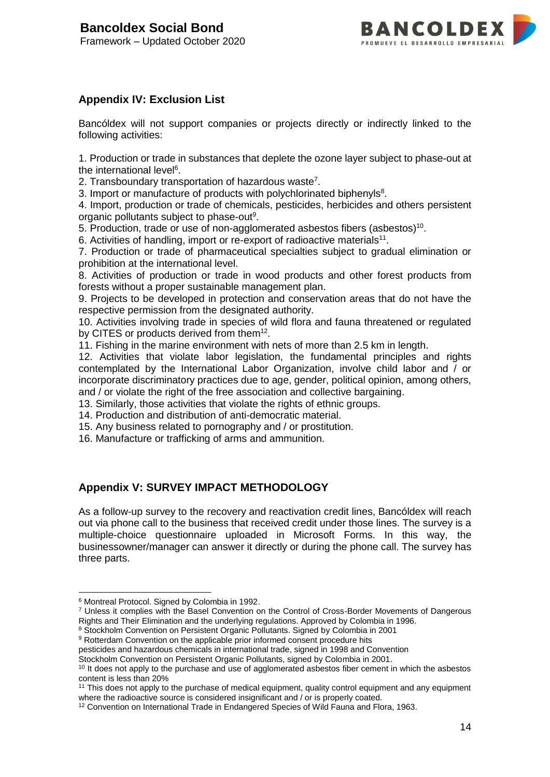

## **Appendix IV: Exclusion List**

Bancóldex will not support companies or projects directly or indirectly linked to the following activities:

1. Production or trade in substances that deplete the ozone layer subject to phase-out at the international level<sup>6</sup>.

2. Transboundary transportation of hazardous waste<sup>7</sup>.

3. Import or manufacture of products with polychlorinated biphenyls<sup>8</sup>.

4. Import, production or trade of chemicals, pesticides, herbicides and others persistent organic pollutants subject to phase-out<sup>9</sup>.

5. Production, trade or use of non-agglomerated asbestos fibers (asbestos)<sup>10</sup>.

6. Activities of handling, import or re-export of radioactive materials<sup>11</sup>.

7. Production or trade of pharmaceutical specialties subject to gradual elimination or prohibition at the international level.

8. Activities of production or trade in wood products and other forest products from forests without a proper sustainable management plan.

9. Projects to be developed in protection and conservation areas that do not have the respective permission from the designated authority.

10. Activities involving trade in species of wild flora and fauna threatened or regulated by CITES or products derived from them<sup>12</sup>.

11. Fishing in the marine environment with nets of more than 2.5 km in length.

12. Activities that violate labor legislation, the fundamental principles and rights contemplated by the International Labor Organization, involve child labor and / or incorporate discriminatory practices due to age, gender, political opinion, among others, and / or violate the right of the free association and collective bargaining.

13. Similarly, those activities that violate the rights of ethnic groups.

14. Production and distribution of anti-democratic material.

15. Any business related to pornography and / or prostitution.

16. Manufacture or trafficking of arms and ammunition.

## **Appendix V: SURVEY IMPACT METHODOLOGY**

As a follow-up survey to the recovery and reactivation credit lines, Bancóldex will reach out via phone call to the business that received credit under those lines. The survey is a multiple-choice questionnaire uploaded in Microsoft Forms. In this way, the businessowner/manager can answer it directly or during the phone call. The survey has three parts.

1

<sup>9</sup> Rotterdam Convention on the applicable prior informed consent procedure hits

pesticides and hazardous chemicals in international trade, signed in 1998 and Convention Stockholm Convention on Persistent Organic Pollutants, signed by Colombia in 2001.

<sup>6</sup> Montreal Protocol. Signed by Colombia in 1992.

<sup>7</sup> Unless it complies with the Basel Convention on the Control of Cross-Border Movements of Dangerous Rights and Their Elimination and the underlying regulations. Approved by Colombia in 1996.

<sup>&</sup>lt;sup>8</sup> Stockholm Convention on Persistent Organic Pollutants. Signed by Colombia in 2001

 $10$  It does not apply to the purchase and use of agglomerated asbestos fiber cement in which the asbestos content is less than 20%

<sup>&</sup>lt;sup>11</sup> This does not apply to the purchase of medical equipment, quality control equipment and any equipment where the radioactive source is considered insignificant and / or is properly coated.

<sup>&</sup>lt;sup>12</sup> Convention on International Trade in Endangered Species of Wild Fauna and Flora, 1963.